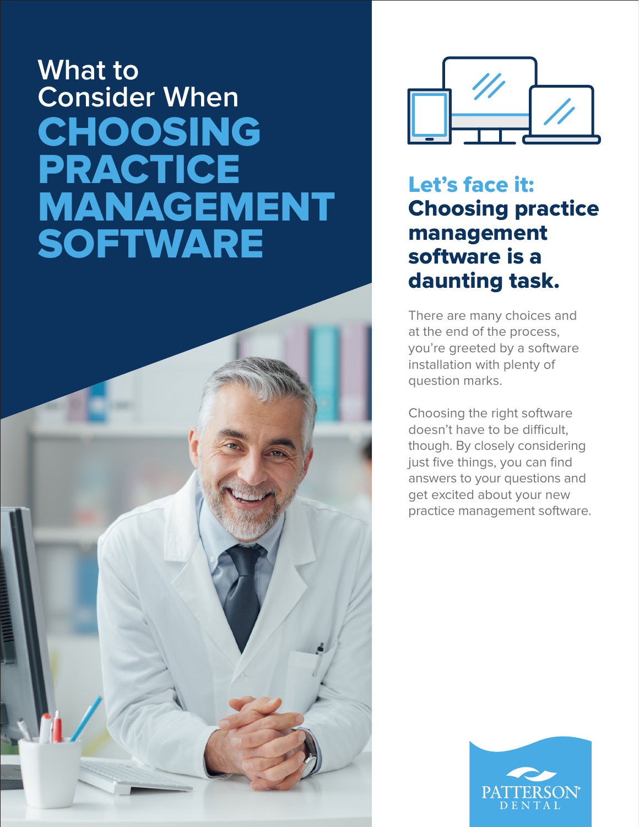# **What to Consider When**  CHOOSING PRACTICE MANAGEMENT **SOFTWARE**



Let's face it: Choosing practice management software is a daunting task.

There are many choices and at the end of the process, you're greeted by a software installation with plenty of question marks.

Choosing the right software doesn't have to be difficult, though. By closely considering just five things, you can find answers to your questions and get excited about your new practice management software.